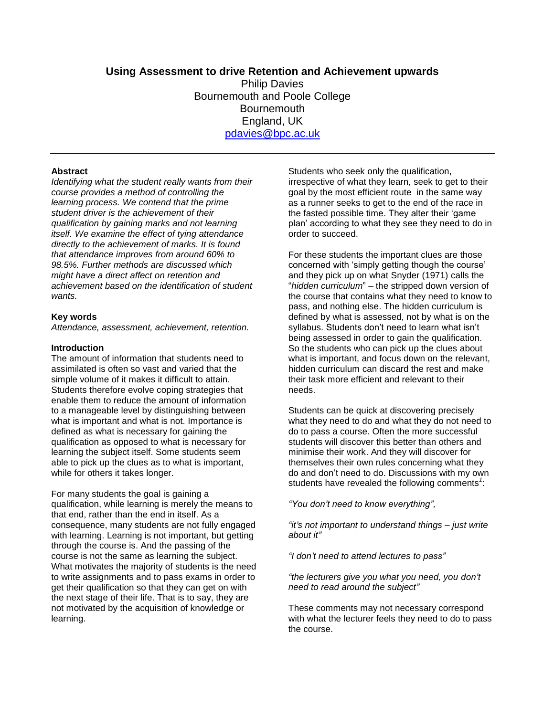# **Using Assessment to drive Retention and Achievement upwards**

Philip Davies Bournemouth and Poole College **Bournemouth** England, UK [pdavies@bpc.ac.uk](mailto:pdavies@bpc.ac.uk)

#### **Abstract**

*Identifying what the student really wants from their course provides a method of controlling the learning process. We contend that the prime student driver is the achievement of their qualification by gaining marks and not learning itself. We examine the effect of tying attendance directly to the achievement of marks. It is found that attendance improves from around 60% to 98.5%. Further methods are discussed which might have a direct affect on retention and achievement based on the identification of student wants.*

#### **Key words**

*Attendance, assessment, achievement, retention.*

#### **Introduction**

The amount of information that students need to assimilated is often so vast and varied that the simple volume of it makes it difficult to attain. Students therefore evolve coping strategies that enable them to reduce the amount of information to a manageable level by distinguishing between what is important and what is not. Importance is defined as what is necessary for gaining the qualification as opposed to what is necessary for learning the subject itself. Some students seem able to pick up the clues as to what is important, while for others it takes longer.

For many students the goal is gaining a qualification, while learning is merely the means to that end, rather than the end in itself. As a consequence, many students are not fully engaged with learning. Learning is not important, but getting through the course is. And the passing of the course is not the same as learning the subject. What motivates the majority of students is the need to write assignments and to pass exams in order to get their qualification so that they can get on with the next stage of their life. That is to say, they are not motivated by the acquisition of knowledge or learning.

Students who seek only the qualification, irrespective of what they learn, seek to get to their goal by the most efficient route in the same way as a runner seeks to get to the end of the race in the fasted possible time. They alter their 'game plan" according to what they see they need to do in order to succeed.

For these students the important clues are those concerned with "simply getting though the course" and they pick up on what Snyder (1971) calls the "*hidden curriculum*" – the stripped down version of the course that contains what they need to know to pass, and nothing else. The hidden curriculum is defined by what is assessed, not by what is on the syllabus. Students don't need to learn what isn't being assessed in order to gain the qualification. So the students who can pick up the clues about what is important, and focus down on the relevant, hidden curriculum can discard the rest and make their task more efficient and relevant to their needs.

Students can be quick at discovering precisely what they need to do and what they do not need to do to pass a course. Often the more successful students will discover this better than others and minimise their work. And they will discover for themselves their own rules concerning what they do and don"t need to do. Discussions with my own students have revealed the following comments<sup>1</sup>:

*"You don't need to know everything",* 

*"it's not important to understand things – just write about it"*

*"I don't need to attend lectures to pass"*

*"the lecturers give you what you need, you don't need to read around the subject"*

These comments may not necessary correspond with what the lecturer feels they need to do to pass the course.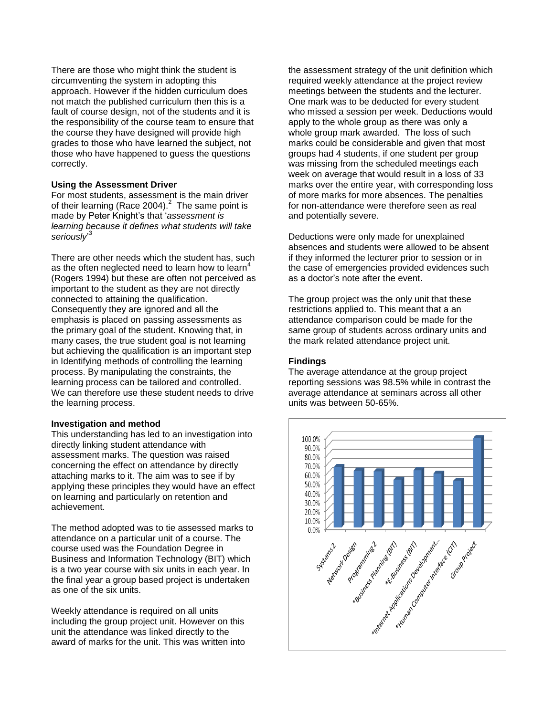There are those who might think the student is circumventing the system in adopting this approach. However if the hidden curriculum does not match the published curriculum then this is a fault of course design, not of the students and it is the responsibility of the course team to ensure that the course they have designed will provide high grades to those who have learned the subject, not those who have happened to guess the questions correctly.

## **Using the Assessment Driver**

For most students, assessment is the main driver of their learning (Race 2004). $^2$  The same point is made by Peter Knight"s that "*assessment is learning because it defines what students will take*  seriously<sup>3</sup>

There are other needs which the student has, such as the often neglected need to learn how to learn<sup>4</sup> (Rogers 1994) but these are often not perceived as important to the student as they are not directly connected to attaining the qualification. Consequently they are ignored and all the emphasis is placed on passing assessments as the primary goal of the student. Knowing that, in many cases, the true student goal is not learning but achieving the qualification is an important step in Identifying methods of controlling the learning process. By manipulating the constraints, the learning process can be tailored and controlled. We can therefore use these student needs to drive the learning process.

#### **Investigation and method**

This understanding has led to an investigation into directly linking student attendance with assessment marks. The question was raised concerning the effect on attendance by directly attaching marks to it. The aim was to see if by applying these principles they would have an effect on learning and particularly on retention and achievement.

The method adopted was to tie assessed marks to attendance on a particular unit of a course. The course used was the Foundation Degree in Business and Information Technology (BIT) which is a two year course with six units in each year. In the final year a group based project is undertaken as one of the six units.

Weekly attendance is required on all units including the group project unit. However on this unit the attendance was linked directly to the award of marks for the unit. This was written into the assessment strategy of the unit definition which required weekly attendance at the project review meetings between the students and the lecturer. One mark was to be deducted for every student who missed a session per week. Deductions would apply to the whole group as there was only a whole group mark awarded. The loss of such marks could be considerable and given that most groups had 4 students, if one student per group was missing from the scheduled meetings each week on average that would result in a loss of 33 marks over the entire year, with corresponding loss of more marks for more absences. The penalties for non-attendance were therefore seen as real and potentially severe.

Deductions were only made for unexplained absences and students were allowed to be absent if they informed the lecturer prior to session or in the case of emergencies provided evidences such as a doctor"s note after the event.

The group project was the only unit that these restrictions applied to. This meant that a an attendance comparison could be made for the same group of students across ordinary units and the mark related attendance project unit.

### **Findings**

The average attendance at the group project reporting sessions was 98.5% while in contrast the average attendance at seminars across all other units was between 50-65%.

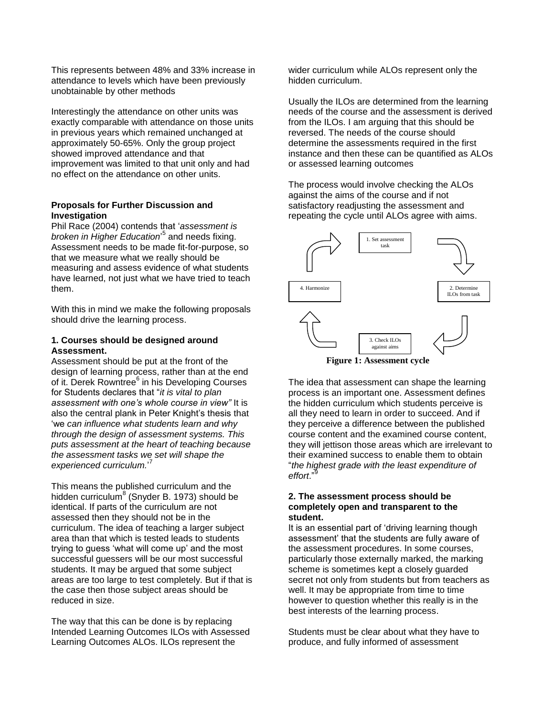This represents between 48% and 33% increase in attendance to levels which have been previously unobtainable by other methods

Interestingly the attendance on other units was exactly comparable with attendance on those units in previous years which remained unchanged at approximately 50-65%. Only the group project showed improved attendance and that improvement was limited to that unit only and had no effect on the attendance on other units.

### **Proposals for Further Discussion and Investigation**

Phil Race (2004) contends that "*assessment is broken in Higher Education*" 5 and needs fixing. Assessment needs to be made fit-for-purpose, so that we measure what we really should be measuring and assess evidence of what students have learned, not just what we have tried to teach them.

With this in mind we make the following proposals should drive the learning process.

### **1. Courses should be designed around Assessment.**

Assessment should be put at the front of the design of learning process, rather than at the end of it. Derek Rowntree<sup>6</sup> in his Developing Courses for Students declares that "*it is vital to plan assessment with one's whole course in view"* It is also the central plank in Peter Knight's thesis that "we *can influence what students learn and why through the design of assessment systems. This puts assessment at the heart of teaching because the assessment tasks we set will shape the experienced curriculum.*" 7

This means the published curriculum and the hidden curriculum<sup>8</sup> (Snyder B. 1973) should be identical. If parts of the curriculum are not assessed then they should not be in the curriculum. The idea of teaching a larger subject area than that which is tested leads to students trying to guess "what will come up" and the most successful guessers will be our most successful students. It may be argued that some subject areas are too large to test completely. But if that is the case then those subject areas should be reduced in size.

The way that this can be done is by replacing Intended Learning Outcomes ILOs with Assessed Learning Outcomes ALOs. ILOs represent the

wider curriculum while ALOs represent only the hidden curriculum.

Usually the ILOs are determined from the learning needs of the course and the assessment is derived from the ILOs. I am arguing that this should be reversed. The needs of the course should determine the assessments required in the first instance and then these can be quantified as ALOs or assessed learning outcomes

The process would involve checking the ALOs against the aims of the course and if not satisfactory readjusting the assessment and repeating the cycle until ALOs agree with aims.





The idea that assessment can shape the learning process is an important one. Assessment defines the hidden curriculum which students perceive is all they need to learn in order to succeed. And if they perceive a difference between the published course content and the examined course content, they will jettison those areas which are irrelevant to their examined success to enable them to obtain "*the highest grade with the least expenditure of effort*."<sup>9</sup>

#### **2. The assessment process should be completely open and transparent to the student.**

It is an essential part of "driving learning though assessment" that the students are fully aware of the assessment procedures. In some courses, particularly those externally marked, the marking scheme is sometimes kept a closely guarded secret not only from students but from teachers as well. It may be appropriate from time to time however to question whether this really is in the best interests of the learning process.

Students must be clear about what they have to produce, and fully informed of assessment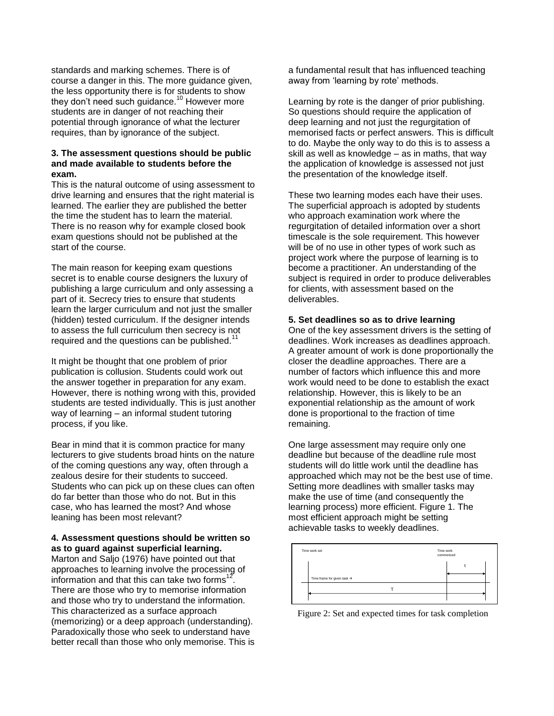standards and marking schemes. There is of course a danger in this. The more guidance given, the less opportunity there is for students to show they don't need such guidance.<sup>10</sup> However more students are in danger of not reaching their potential through ignorance of what the lecturer requires, than by ignorance of the subject.

#### **3. The assessment questions should be public and made available to students before the exam.**

This is the natural outcome of using assessment to drive learning and ensures that the right material is learned. The earlier they are published the better the time the student has to learn the material. There is no reason why for example closed book exam questions should not be published at the start of the course.

The main reason for keeping exam questions secret is to enable course designers the luxury of publishing a large curriculum and only assessing a part of it. Secrecy tries to ensure that students learn the larger curriculum and not just the smaller (hidden) tested curriculum. If the designer intends to assess the full curriculum then secrecy is not required and the questions can be published.<sup>11</sup>

It might be thought that one problem of prior publication is collusion. Students could work out the answer together in preparation for any exam. However, there is nothing wrong with this, provided students are tested individually. This is just another way of learning – an informal student tutoring process, if you like.

Bear in mind that it is common practice for many lecturers to give students broad hints on the nature of the coming questions any way, often through a zealous desire for their students to succeed. Students who can pick up on these clues can often do far better than those who do not. But in this case, who has learned the most? And whose leaning has been most relevant?

#### **4. Assessment questions should be written so as to guard against superficial learning.**

Marton and Saljo (1976) have pointed out that approaches to learning involve the processing of information and that this can take two forms<sup>12</sup>. There are those who try to memorise information and those who try to understand the information. This characterized as a surface approach (memorizing) or a deep approach (understanding). Paradoxically those who seek to understand have better recall than those who only memorise. This is a fundamental result that has influenced teaching away from 'learning by rote' methods.

Learning by rote is the danger of prior publishing. So questions should require the application of deep learning and not just the regurgitation of memorised facts or perfect answers. This is difficult to do. Maybe the only way to do this is to assess a skill as well as knowledge – as in maths, that way the application of knowledge is assessed not just the presentation of the knowledge itself.

These two learning modes each have their uses. The superficial approach is adopted by students who approach examination work where the regurgitation of detailed information over a short timescale is the sole requirement. This however will be of no use in other types of work such as project work where the purpose of learning is to become a practitioner. An understanding of the subject is required in order to produce deliverables for clients, with assessment based on the deliverables.

#### **5. Set deadlines so as to drive learning**

One of the key assessment drivers is the setting of deadlines. Work increases as deadlines approach. A greater amount of work is done proportionally the closer the deadline approaches. There are a number of factors which influence this and more work would need to be done to establish the exact relationship. However, this is likely to be an exponential relationship as the amount of work done is proportional to the fraction of time remaining.

One large assessment may require only one deadline but because of the deadline rule most students will do little work until the deadline has approached which may not be the best use of time. Setting more deadlines with smaller tasks may make the use of time (and consequently the learning process) more efficient. Figure 1. The most efficient approach might be setting achievable tasks to weekly deadlines.



Figure 2: Set and expected times for task completion